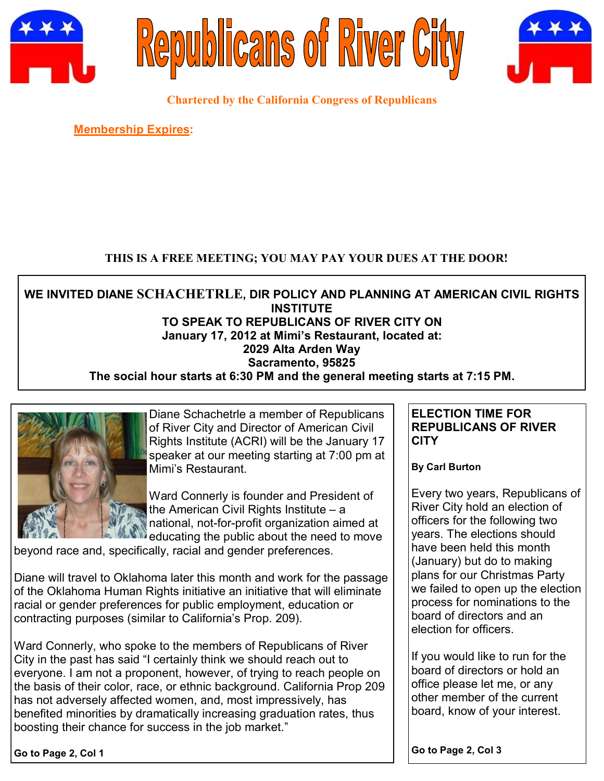





**Chartered by the California Congress of Republicans**

**Membership Expires:** 

# **THIS IS A FREE MEETING; YOU MAY PAY YOUR DUES AT THE DOOR!**

**WE INVITED DIANE SCHACHETRLE, DIR POLICY AND PLANNING AT AMERICAN CIVIL RIGHTS INSTITUTE TO SPEAK TO REPUBLICANS OF RIVER CITY ON January 17, 2012 at Mimi's Restaurant, located at: 2029 Alta Arden Way Sacramento, 95825 The social hour starts at 6:30 PM and the general meeting starts at 7:15 PM.**



Diane Schachetrle a member of Republicans of River City and Director of American Civil Rights Institute (ACRI) will be the January 17 speaker at our meeting starting at 7:00 pm at Mimi's Restaurant.

Ward Connerly is founder and President of the American Civil Rights Institute – a national, not-for-profit organization aimed at educating the public about the need to move

beyond race and, specifically, racial and gender preferences.

Diane will travel to Oklahoma later this month and work for the passage of the Oklahoma Human Rights initiative an initiative that will eliminate racial or gender preferences for public employment, education or contracting purposes (similar to California's Prop. 209).

Ward Connerly, who spoke to the members of Republicans of River City in the past has said "I certainly think we should reach out to everyone. I am not a proponent, however, of trying to reach people on the basis of their color, race, or ethnic background. California Prop 209 has not adversely affected women, and, most impressively, has benefited minorities by dramatically increasing graduation rates, thus boosting their chance for success in the job market."

**ELECTION TIME FOR REPUBLICANS OF RIVER CITY**

**By Carl Burton**

Every two years, Republicans of River City hold an election of officers for the following two years. The elections should have been held this month (January) but do to making plans for our Christmas Party we failed to open up the election process for nominations to the board of directors and an election for officers.

If you would like to run for the board of directors or hold an office please let me, or any other member of the current board, know of your interest.

**Go to Page 2, Col 1**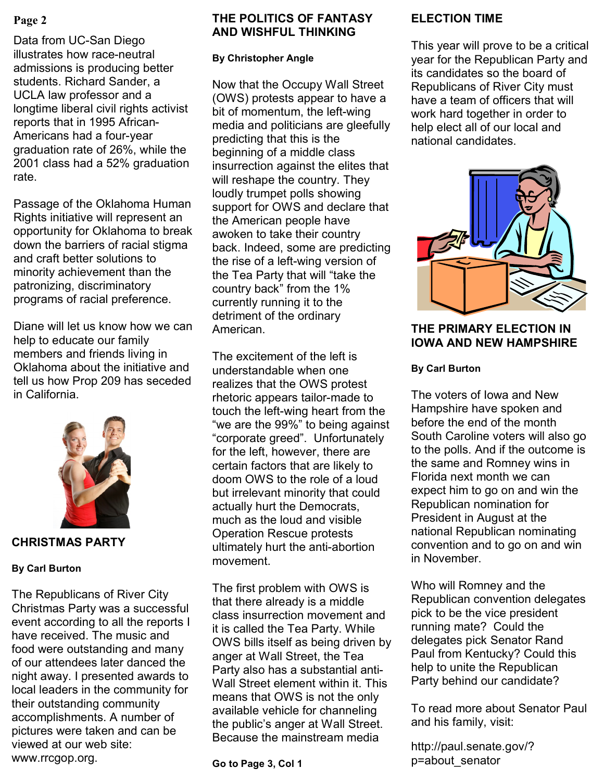Data from UC-San Diego illustrates how race-neutral admissions is producing better students. Richard Sander, a UCLA law professor and a longtime liberal civil rights activist reports that in 1995 African-Americans had a four-year graduation rate of 26%, while the 2001 class had a 52% graduation rate.

Passage of the Oklahoma Human Rights initiative will represent an opportunity for Oklahoma to break down the barriers of racial stigma and craft better solutions to minority achievement than the patronizing, discriminatory programs of racial preference.

Diane will let us know how we can help to educate our family members and friends living in Oklahoma about the initiative and tell us how Prop 209 has seceded in California.



**CHRISTMAS PARTY**

### **By Carl Burton**

The Republicans of River City Christmas Party was a successful event according to all the reports I have received. The music and food were outstanding and many of our attendees later danced the night away. I presented awards to local leaders in the community for their outstanding community accomplishments. A number of pictures were taken and can be viewed at our web site: www.rrcgop.org.

# **Page 2 ELECTION TIME THE POLITICS OF FANTASY AND WISHFUL THINKING**

### **By Christopher Angle**

Now that the Occupy Wall Street (OWS) protests appear to have a bit of momentum, the left-wing media and politicians are gleefully predicting that this is the beginning of a middle class insurrection against the elites that will reshape the country. They loudly trumpet polls showing support for OWS and declare that the American people have awoken to take their country back. Indeed, some are predicting the rise of a left-wing version of the Tea Party that will "take the country back" from the 1% currently running it to the detriment of the ordinary American.

The excitement of the left is understandable when one realizes that the OWS protest rhetoric appears tailor-made to touch the left-wing heart from the "we are the 99%" to being against "corporate greed". Unfortunately for the left, however, there are certain factors that are likely to doom OWS to the role of a loud but irrelevant minority that could actually hurt the Democrats, much as the loud and visible Operation Rescue protests ultimately hurt the anti-abortion movement.

The first problem with OWS is that there already is a middle class insurrection movement and it is called the Tea Party. While OWS bills itself as being driven by anger at Wall Street, the Tea Party also has a substantial anti-Wall Street element within it. This means that OWS is not the only available vehicle for channeling the public's anger at Wall Street. Because the mainstream media

**Go to Page 3, Col 1**

This year will prove to be a critical year for the Republican Party and its candidates so the board of Republicans of River City must have a team of officers that will work hard together in order to help elect all of our local and national candidates.



## **THE PRIMARY ELECTION IN IOWA AND NEW HAMPSHIRE**

### **By Carl Burton**

The voters of Iowa and New Hampshire have spoken and before the end of the month South Caroline voters will also go to the polls. And if the outcome is the same and Romney wins in Florida next month we can expect him to go on and win the Republican nomination for President in August at the national Republican nominating convention and to go on and win in November.

Who will Romney and the Republican convention delegates pick to be the vice president running mate? Could the delegates pick Senator Rand Paul from Kentucky? Could this help to unite the Republican Party behind our candidate?

To read more about Senator Paul and his family, visit:

http://paul.senate.gov/? p=about\_senator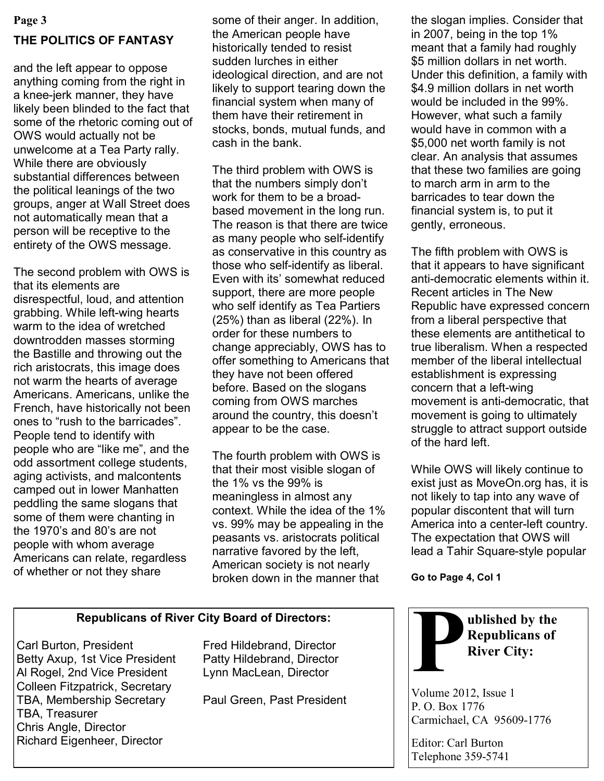#### **Page 3**

## **THE POLITICS OF FANTASY**

and the left appear to oppose anything coming from the right in a knee-jerk manner, they have likely been blinded to the fact that some of the rhetoric coming out of OWS would actually not be unwelcome at a Tea Party rally. While there are obviously substantial differences between the political leanings of the two groups, anger at Wall Street does not automatically mean that a person will be receptive to the entirety of the OWS message.

The second problem with OWS is that its elements are disrespectful, loud, and attention grabbing. While left-wing hearts warm to the idea of wretched downtrodden masses storming the Bastille and throwing out the rich aristocrats, this image does not warm the hearts of average Americans. Americans, unlike the French, have historically not been ones to "rush to the barricades". People tend to identify with people who are "like me", and the odd assortment college students, aging activists, and malcontents camped out in lower Manhatten peddling the same slogans that some of them were chanting in the 1970's and 80's are not people with whom average Americans can relate, regardless of whether or not they share

some of their anger. In addition, the American people have historically tended to resist sudden lurches in either ideological direction, and are not likely to support tearing down the financial system when many of them have their retirement in stocks, bonds, mutual funds, and cash in the bank.

The third problem with OWS is that the numbers simply don't work for them to be a broadbased movement in the long run. The reason is that there are twice as many people who self-identify as conservative in this country as those who self-identify as liberal. Even with its' somewhat reduced support, there are more people who self identify as Tea Partiers (25%) than as liberal (22%). In order for these numbers to change appreciably, OWS has to offer something to Americans that they have not been offered before. Based on the slogans coming from OWS marches around the country, this doesn't appear to be the case.

The fourth problem with OWS is that their most visible slogan of the 1% vs the 99% is meaningless in almost any context. While the idea of the 1% vs. 99% may be appealing in the peasants vs. aristocrats political narrative favored by the left, American society is not nearly broken down in the manner that

the slogan implies. Consider that in 2007, being in the top 1% meant that a family had roughly \$5 million dollars in net worth. Under this definition, a family with \$4.9 million dollars in net worth would be included in the 99%. However, what such a family would have in common with a \$5,000 net worth family is not clear. An analysis that assumes that these two families are going to march arm in arm to the barricades to tear down the financial system is, to put it gently, erroneous.

The fifth problem with OWS is that it appears to have significant anti-democratic elements within it. Recent articles in The New Republic have expressed concern from a liberal perspective that these elements are antithetical to true liberalism. When a respected member of the liberal intellectual establishment is expressing concern that a left-wing movement is anti-democratic, that movement is going to ultimately struggle to attract support outside of the hard left.

While OWS will likely continue to exist just as MoveOn.org has, it is not likely to tap into any wave of popular discontent that will turn America into a center-left country. The expectation that OWS will lead a Tahir Square-style popular

**Go to Page 4, Col 1**

### **Republicans of River City Board of Directors:**

Carl Burton, President Fred Hildebrand, Director Betty Axup, 1st Vice President Patty Hildebrand, Director Al Rogel, 2nd Vice President Lynn MacLean, Director Colleen Fitzpatrick, Secretary TBA, Membership Secretary Paul Green, Past President TBA, Treasurer Chris Angle, Director Richard Eigenheer, Director



Editor: Carl Burton Telephone 359-5741